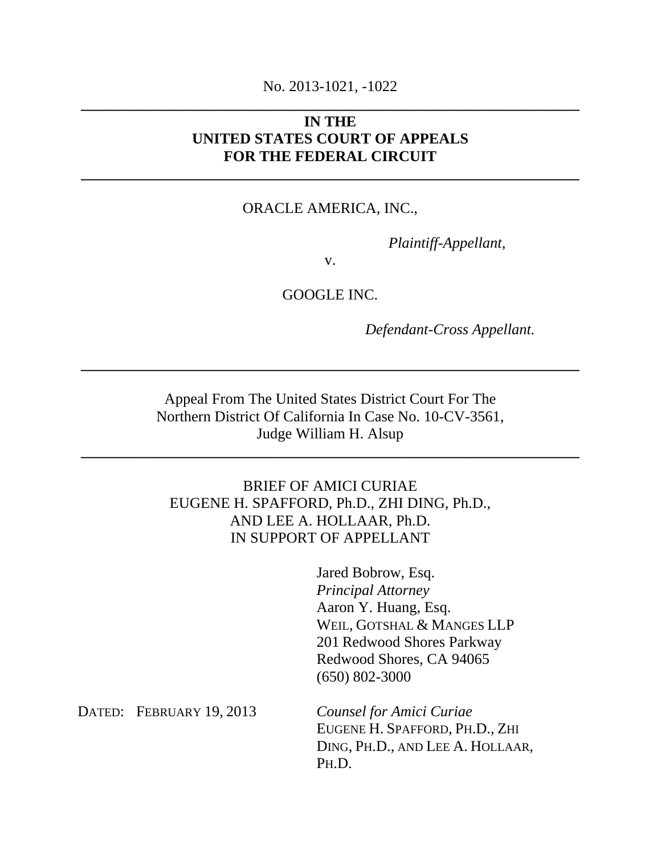# No. 2013-1021, -1022 **\_\_\_\_\_\_\_\_\_\_\_\_\_\_\_\_\_\_\_\_\_\_\_\_\_\_\_\_\_\_\_\_\_\_\_\_\_\_\_\_\_\_\_\_\_\_\_\_\_\_\_\_\_\_\_\_\_\_\_\_\_\_\_\_\_\_**

# **IN THE UNITED STATES COURT OF APPEALS FOR THE FEDERAL CIRCUIT**

**\_\_\_\_\_\_\_\_\_\_\_\_\_\_\_\_\_\_\_\_\_\_\_\_\_\_\_\_\_\_\_\_\_\_\_\_\_\_\_\_\_\_\_\_\_\_\_\_\_\_\_\_\_\_\_\_\_\_\_\_\_\_\_\_\_\_** 

#### ORACLE AMERICA, INC.,

 *Plaintiff-Appellant,* 

v.

GOOGLE INC.

*Defendant-Cross Appellant.* 

Appeal From The United States District Court For The Northern District Of California In Case No. 10-CV-3561, Judge William H. Alsup

**\_\_\_\_\_\_\_\_\_\_\_\_\_\_\_\_\_\_\_\_\_\_\_\_\_\_\_\_\_\_\_\_\_\_\_\_\_\_\_\_\_\_\_\_\_\_\_\_\_\_\_\_\_\_\_\_\_\_\_\_\_\_\_\_\_\_** 

**\_\_\_\_\_\_\_\_\_\_\_\_\_\_\_\_\_\_\_\_\_\_\_\_\_\_\_\_\_\_\_\_\_\_\_\_\_\_\_\_\_\_\_\_\_\_\_\_\_\_\_\_\_\_\_\_\_\_\_\_\_\_\_\_\_\_** 

# BRIEF OF AMICI CURIAE EUGENE H. SPAFFORD, Ph.D., ZHI DING, Ph.D., AND LEE A. HOLLAAR, Ph.D. IN SUPPORT OF APPELLANT

Jared Bobrow, Esq. *Principal Attorney*  Aaron Y. Huang, Esq. WEIL, GOTSHAL & MANGES LLP 201 Redwood Shores Parkway Redwood Shores, CA 94065 (650) 802-3000

DATED: FEBRUARY 19, 2013

*Counsel for Amici Curiae*  EUGENE H. SPAFFORD, PH.D., ZHI DING, PH.D., AND LEE A. HOLLAAR, PH.D.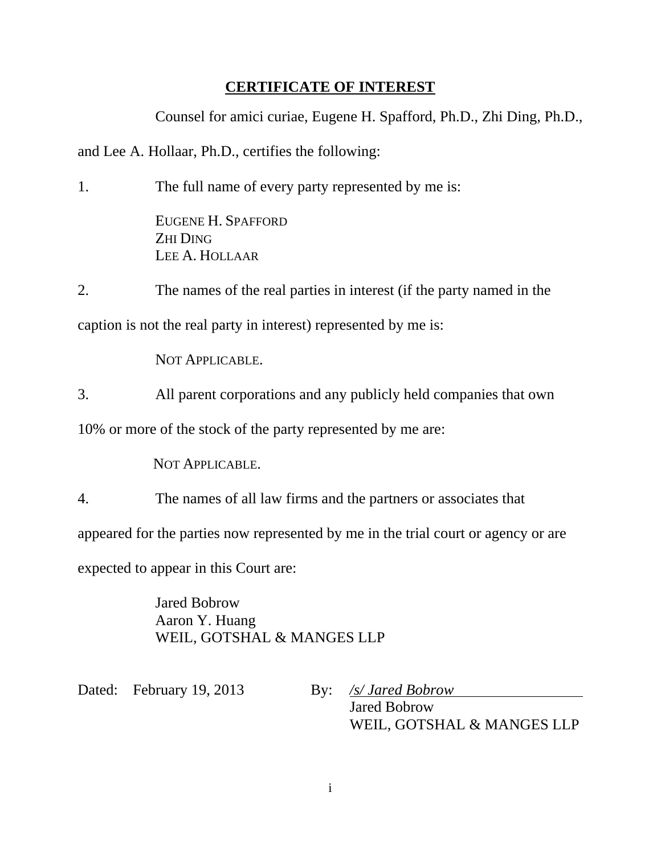# **CERTIFICATE OF INTEREST**

Counsel for amici curiae, Eugene H. Spafford, Ph.D., Zhi Ding, Ph.D.,

and Lee A. Hollaar, Ph.D., certifies the following:

1. The full name of every party represented by me is:

EUGENE H. SPAFFORD ZHI DING LEE A. HOLLAAR

2. The names of the real parties in interest (if the party named in the

caption is not the real party in interest) represented by me is:

NOT APPLICABLE.

3. All parent corporations and any publicly held companies that own

10% or more of the stock of the party represented by me are:

NOT APPLICABLE.

4. The names of all law firms and the partners or associates that

appeared for the parties now represented by me in the trial court or agency or are

expected to appear in this Court are:

Jared Bobrow Aaron Y. Huang WEIL, GOTSHAL & MANGES LLP

Dated: February 19, 2013 By: */s/ Jared Bobrow*

Jared Bobrow

WEIL, GOTSHAL & MANGES LLP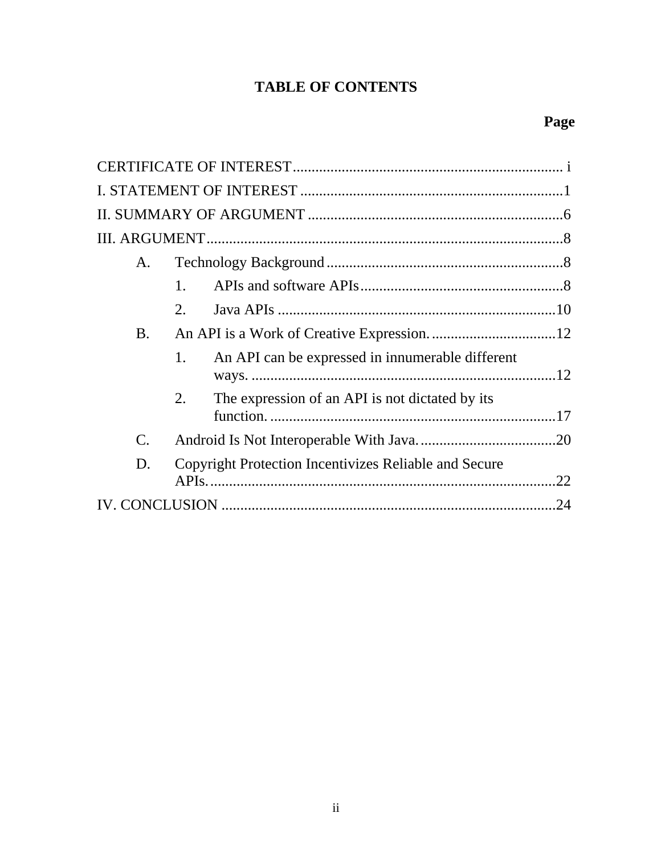# **TABLE OF CONTENTS**

| A.             |                                                              |     |
|----------------|--------------------------------------------------------------|-----|
|                | 1.                                                           |     |
|                | 2.                                                           |     |
| <b>B.</b>      |                                                              |     |
|                | An API can be expressed in innumerable different<br>1.       |     |
|                | The expression of an API is not dictated by its<br>2.        |     |
| $\mathbf{C}$ . |                                                              |     |
| D.             | <b>Copyright Protection Incentivizes Reliable and Secure</b> | .22 |
|                |                                                              | .24 |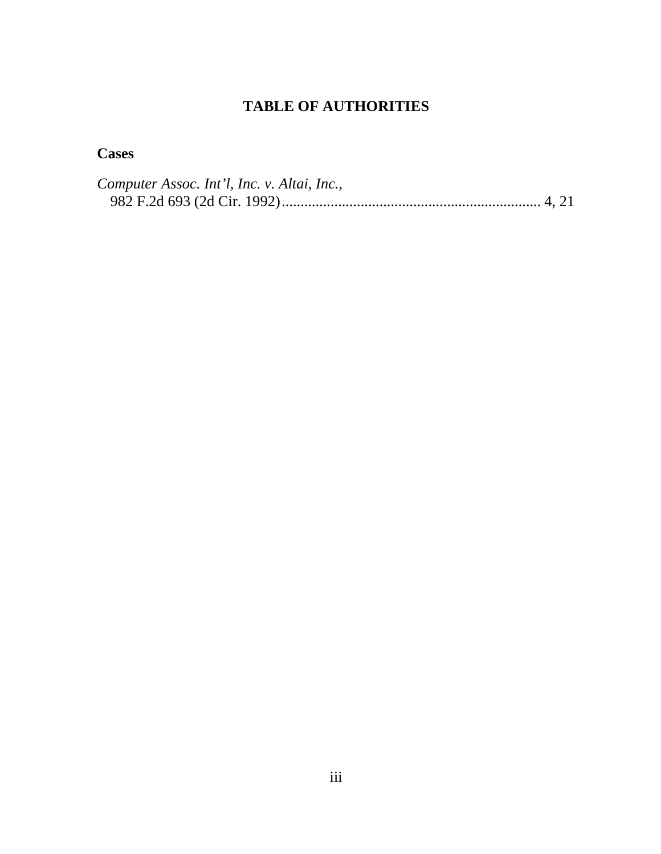# **TABLE OF AUTHORITIES**

# **Cases**

| Computer Assoc. Int'l, Inc. v. Altai, Inc., |  |
|---------------------------------------------|--|
|                                             |  |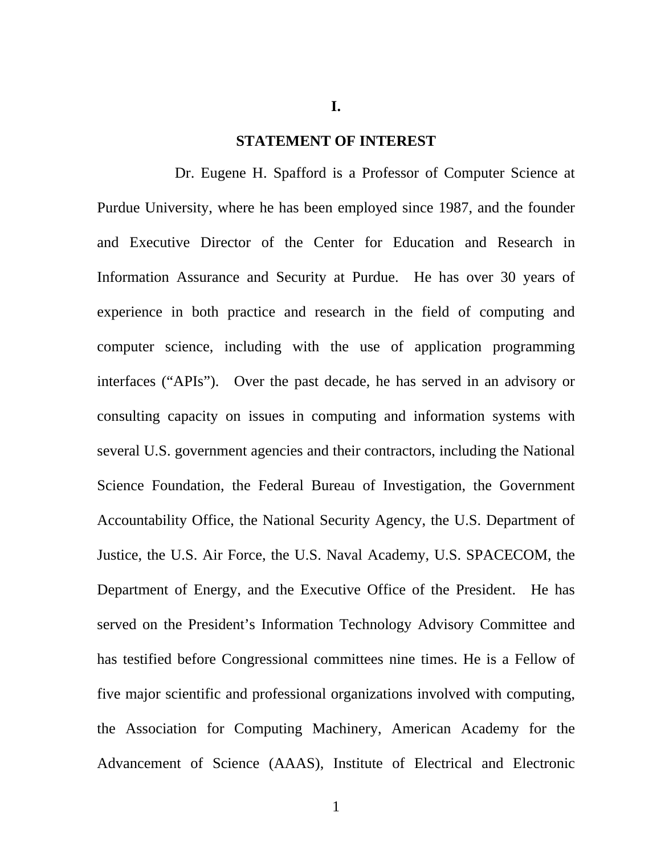**I.** 

#### **STATEMENT OF INTEREST**

Dr. Eugene H. Spafford is a Professor of Computer Science at Purdue University, where he has been employed since 1987, and the founder and Executive Director of the Center for Education and Research in Information Assurance and Security at Purdue. He has over 30 years of experience in both practice and research in the field of computing and computer science, including with the use of application programming interfaces ("APIs"). Over the past decade, he has served in an advisory or consulting capacity on issues in computing and information systems with several U.S. government agencies and their contractors, including the National Science Foundation, the Federal Bureau of Investigation, the Government Accountability Office, the National Security Agency, the U.S. Department of Justice, the U.S. Air Force, the U.S. Naval Academy, U.S. SPACECOM, the Department of Energy, and the Executive Office of the President. He has served on the President's Information Technology Advisory Committee and has testified before Congressional committees nine times. He is a Fellow of five major scientific and professional organizations involved with computing, the Association for Computing Machinery, American Academy for the Advancement of Science (AAAS), Institute of Electrical and Electronic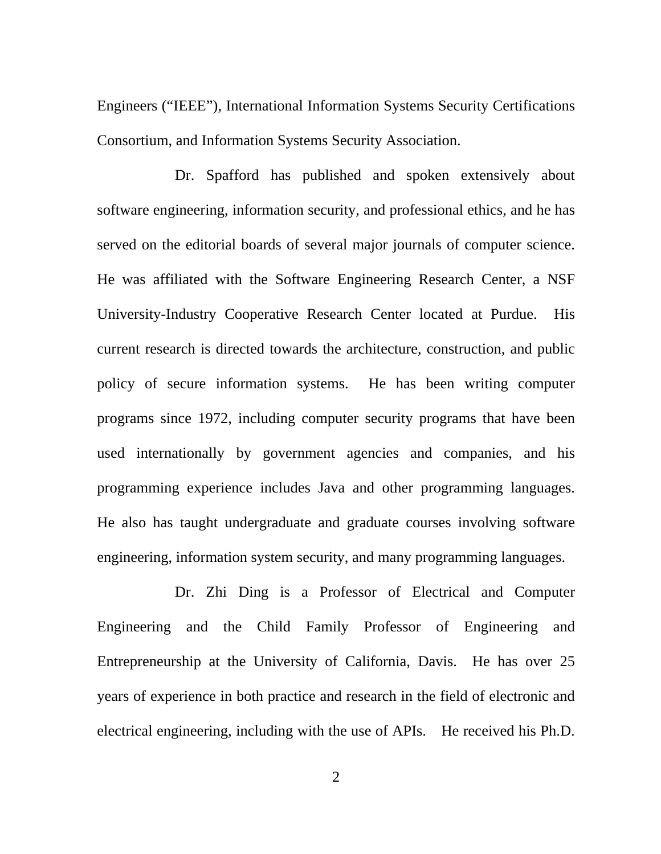Engineers ("IEEE"), International Information Systems Security Certifications Consortium, and Information Systems Security Association.

Dr. Spafford has published and spoken extensively about software engineering, information security, and professional ethics, and he has served on the editorial boards of several major journals of computer science. He was affiliated with the Software Engineering Research Center, a NSF University-Industry Cooperative Research Center located at Purdue. His current research is directed towards the architecture, construction, and public policy of secure information systems. He has been writing computer programs since 1972, including computer security programs that have been used internationally by government agencies and companies, and his programming experience includes Java and other programming languages. He also has taught undergraduate and graduate courses involving software engineering, information system security, and many programming languages.

Dr. Zhi Ding is a Professor of Electrical and Computer Engineering and the Child Family Professor of Engineering and Entrepreneurship at the University of California, Davis. He has over 25 years of experience in both practice and research in the field of electronic and electrical engineering, including with the use of APIs. He received his Ph.D.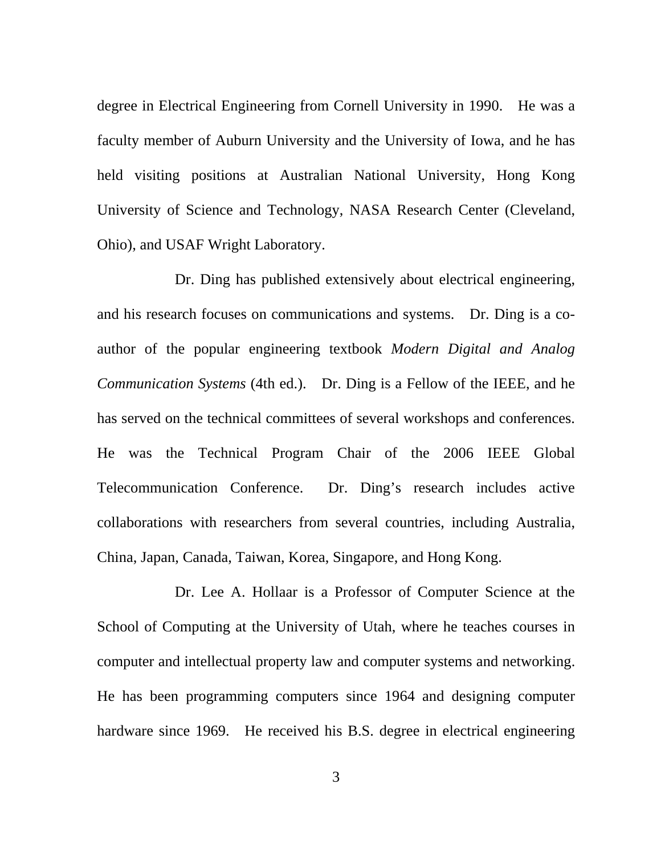degree in Electrical Engineering from Cornell University in 1990. He was a faculty member of Auburn University and the University of Iowa, and he has held visiting positions at Australian National University, Hong Kong University of Science and Technology, NASA Research Center (Cleveland, Ohio), and USAF Wright Laboratory.

Dr. Ding has published extensively about electrical engineering, and his research focuses on communications and systems. Dr. Ding is a coauthor of the popular engineering textbook *Modern Digital and Analog Communication Systems* (4th ed.). Dr. Ding is a Fellow of the IEEE, and he has served on the technical committees of several workshops and conferences. He was the Technical Program Chair of the 2006 IEEE Global Telecommunication Conference. Dr. Ding's research includes active collaborations with researchers from several countries, including Australia, China, Japan, Canada, Taiwan, Korea, Singapore, and Hong Kong.

Dr. Lee A. Hollaar is a Professor of Computer Science at the School of Computing at the University of Utah, where he teaches courses in computer and intellectual property law and computer systems and networking. He has been programming computers since 1964 and designing computer hardware since 1969. He received his B.S. degree in electrical engineering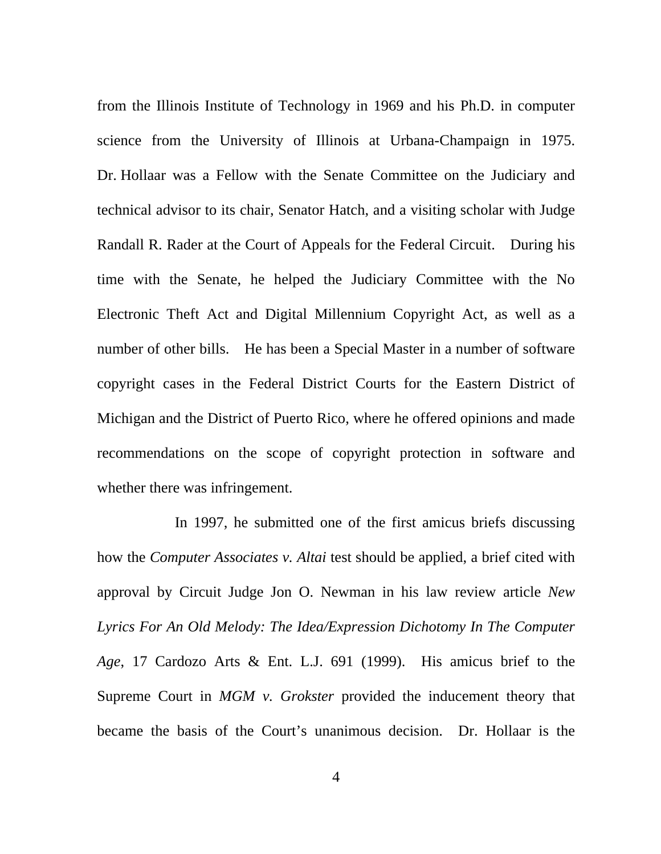from the Illinois Institute of Technology in 1969 and his Ph.D. in computer science from the University of Illinois at Urbana-Champaign in 1975. Dr. Hollaar was a Fellow with the Senate Committee on the Judiciary and technical advisor to its chair, Senator Hatch, and a visiting scholar with Judge Randall R. Rader at the Court of Appeals for the Federal Circuit. During his time with the Senate, he helped the Judiciary Committee with the No Electronic Theft Act and Digital Millennium Copyright Act, as well as a number of other bills. He has been a Special Master in a number of software copyright cases in the Federal District Courts for the Eastern District of Michigan and the District of Puerto Rico, where he offered opinions and made recommendations on the scope of copyright protection in software and whether there was infringement.

In 1997, he submitted one of the first amicus briefs discussing how the *Computer Associates v. Altai* test should be applied, a brief cited with approval by Circuit Judge Jon O. Newman in his law review article *New Lyrics For An Old Melody: The Idea/Expression Dichotomy In The Computer Age*, 17 Cardozo Arts & Ent. L.J. 691 (1999). His amicus brief to the Supreme Court in *MGM v. Grokster* provided the inducement theory that became the basis of the Court's unanimous decision. Dr. Hollaar is the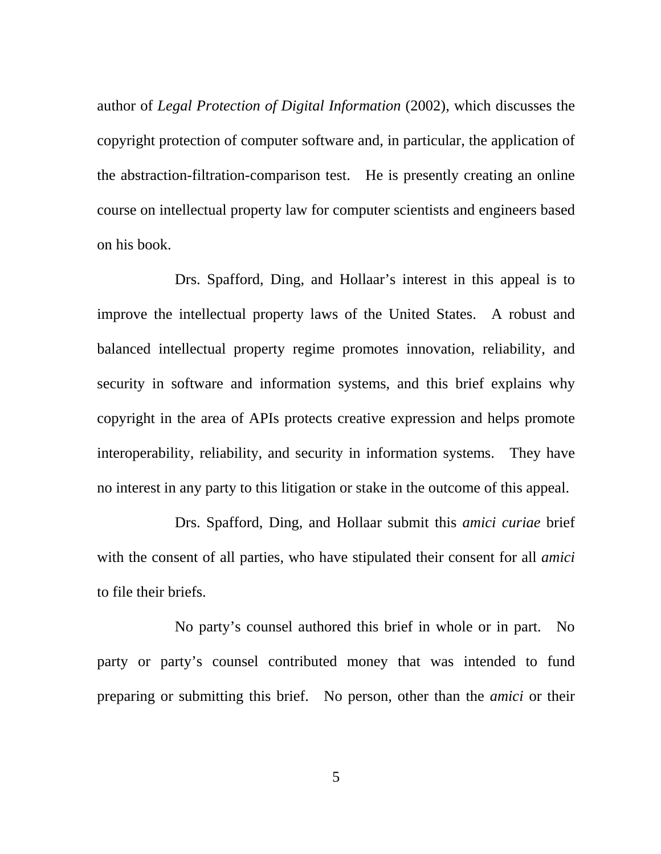author of *Legal Protection of Digital Information* (2002), which discusses the copyright protection of computer software and, in particular, the application of the abstraction-filtration-comparison test. He is presently creating an online course on intellectual property law for computer scientists and engineers based on his book.

Drs. Spafford, Ding, and Hollaar's interest in this appeal is to improve the intellectual property laws of the United States. A robust and balanced intellectual property regime promotes innovation, reliability, and security in software and information systems, and this brief explains why copyright in the area of APIs protects creative expression and helps promote interoperability, reliability, and security in information systems. They have no interest in any party to this litigation or stake in the outcome of this appeal.

Drs. Spafford, Ding, and Hollaar submit this *amici curiae* brief with the consent of all parties, who have stipulated their consent for all *amici* to file their briefs.

No party's counsel authored this brief in whole or in part. No party or party's counsel contributed money that was intended to fund preparing or submitting this brief. No person, other than the *amici* or their

 $\sim$  5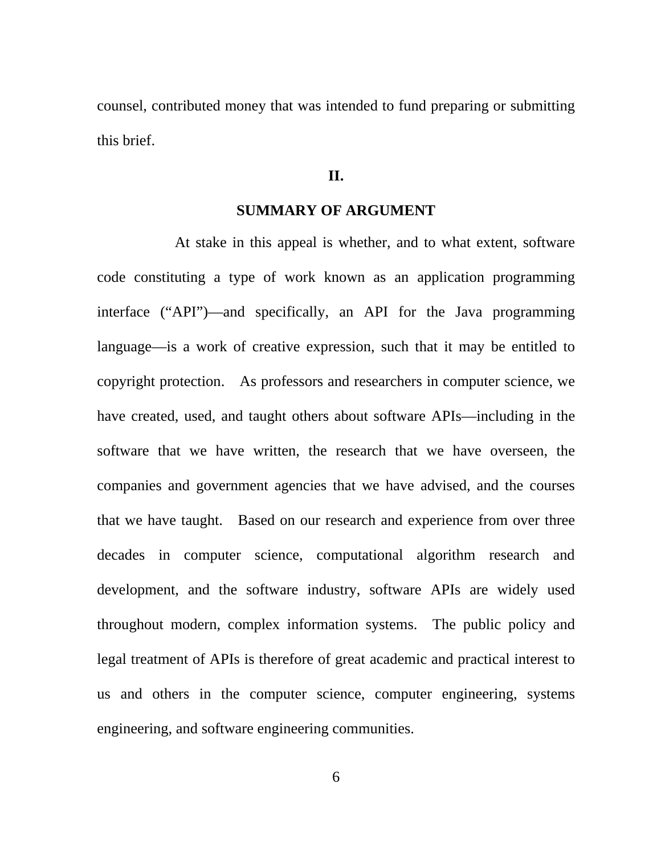counsel, contributed money that was intended to fund preparing or submitting this brief.

### **II.**

### **SUMMARY OF ARGUMENT**

At stake in this appeal is whether, and to what extent, software code constituting a type of work known as an application programming interface ("API")—and specifically, an API for the Java programming language—is a work of creative expression, such that it may be entitled to copyright protection. As professors and researchers in computer science, we have created, used, and taught others about software APIs—including in the software that we have written, the research that we have overseen, the companies and government agencies that we have advised, and the courses that we have taught. Based on our research and experience from over three decades in computer science, computational algorithm research and development, and the software industry, software APIs are widely used throughout modern, complex information systems. The public policy and legal treatment of APIs is therefore of great academic and practical interest to us and others in the computer science, computer engineering, systems engineering, and software engineering communities.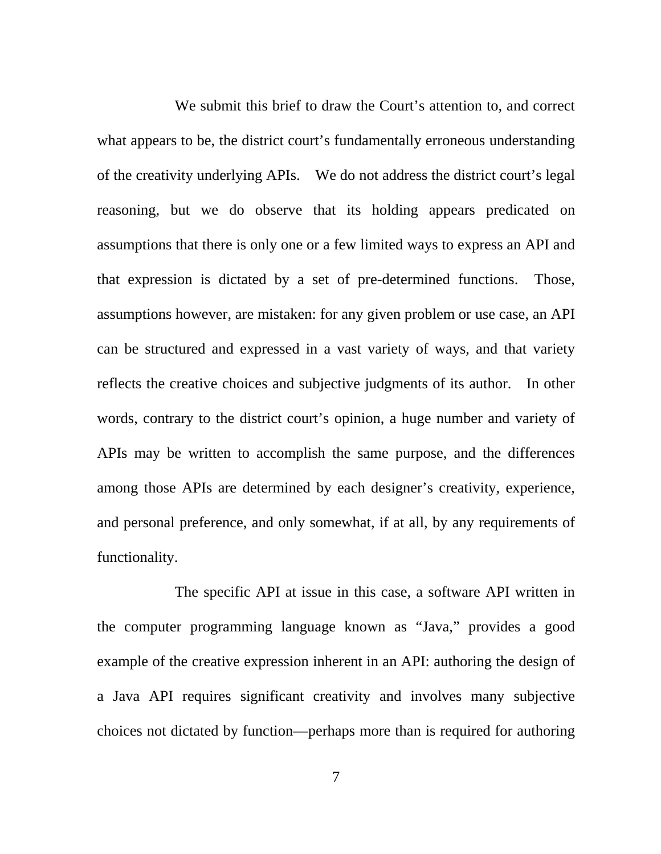We submit this brief to draw the Court's attention to, and correct what appears to be, the district court's fundamentally erroneous understanding of the creativity underlying APIs. We do not address the district court's legal reasoning, but we do observe that its holding appears predicated on assumptions that there is only one or a few limited ways to express an API and that expression is dictated by a set of pre-determined functions. Those, assumptions however, are mistaken: for any given problem or use case, an API can be structured and expressed in a vast variety of ways, and that variety reflects the creative choices and subjective judgments of its author. In other words, contrary to the district court's opinion, a huge number and variety of APIs may be written to accomplish the same purpose, and the differences among those APIs are determined by each designer's creativity, experience, and personal preference, and only somewhat, if at all, by any requirements of functionality.

The specific API at issue in this case, a software API written in the computer programming language known as "Java," provides a good example of the creative expression inherent in an API: authoring the design of a Java API requires significant creativity and involves many subjective choices not dictated by function—perhaps more than is required for authoring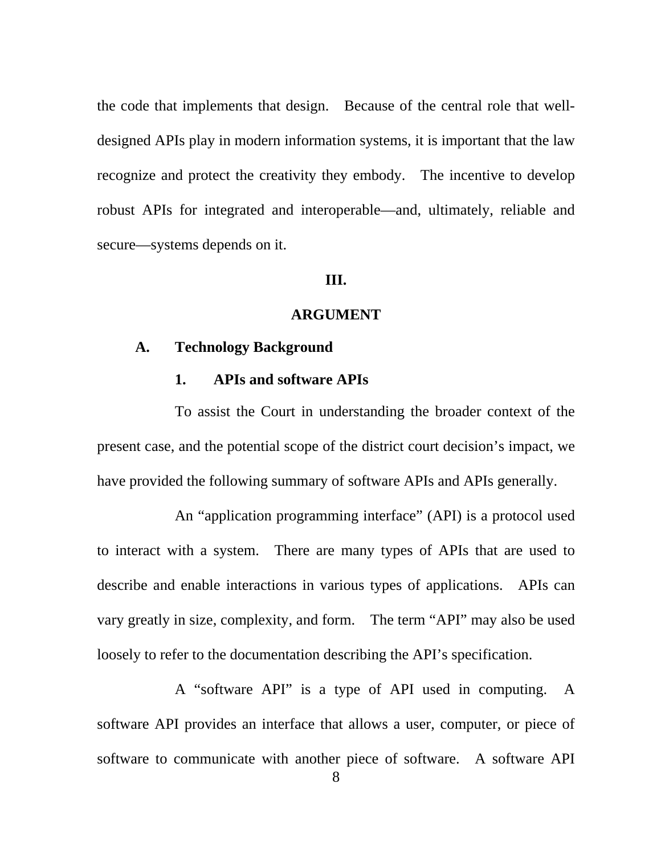the code that implements that design. Because of the central role that welldesigned APIs play in modern information systems, it is important that the law recognize and protect the creativity they embody. The incentive to develop robust APIs for integrated and interoperable—and, ultimately, reliable and secure—systems depends on it.

#### **III.**

#### **ARGUMENT**

### **A. Technology Background**

### **1. APIs and software APIs**

To assist the Court in understanding the broader context of the present case, and the potential scope of the district court decision's impact, we have provided the following summary of software APIs and APIs generally.

An "application programming interface" (API) is a protocol used to interact with a system. There are many types of APIs that are used to describe and enable interactions in various types of applications. APIs can vary greatly in size, complexity, and form. The term "API" may also be used loosely to refer to the documentation describing the API's specification.

A "software API" is a type of API used in computing. A software API provides an interface that allows a user, computer, or piece of software to communicate with another piece of software. A software API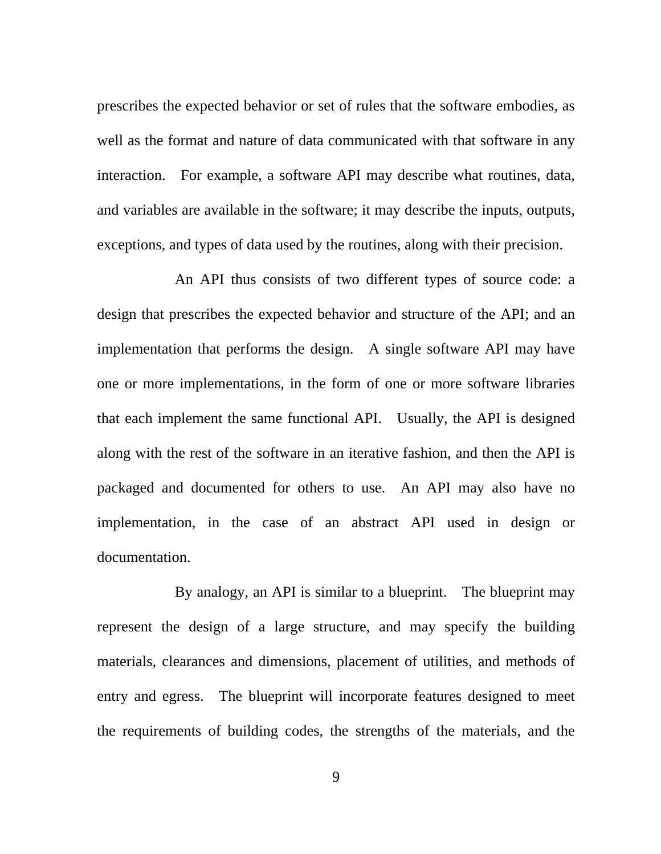prescribes the expected behavior or set of rules that the software embodies, as well as the format and nature of data communicated with that software in any interaction. For example, a software API may describe what routines, data, and variables are available in the software; it may describe the inputs, outputs, exceptions, and types of data used by the routines, along with their precision.

An API thus consists of two different types of source code: a design that prescribes the expected behavior and structure of the API; and an implementation that performs the design. A single software API may have one or more implementations, in the form of one or more software libraries that each implement the same functional API. Usually, the API is designed along with the rest of the software in an iterative fashion, and then the API is packaged and documented for others to use. An API may also have no implementation, in the case of an abstract API used in design or documentation.

By analogy, an API is similar to a blueprint. The blueprint may represent the design of a large structure, and may specify the building materials, clearances and dimensions, placement of utilities, and methods of entry and egress. The blueprint will incorporate features designed to meet the requirements of building codes, the strengths of the materials, and the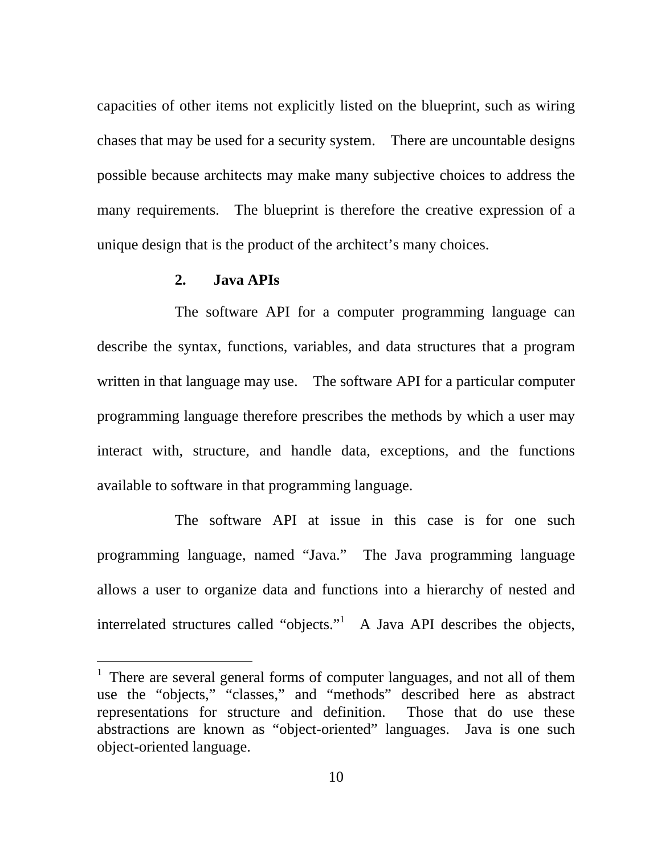capacities of other items not explicitly listed on the blueprint, such as wiring chases that may be used for a security system. There are uncountable designs possible because architects may make many subjective choices to address the many requirements. The blueprint is therefore the creative expression of a unique design that is the product of the architect's many choices.

### **2. Java APIs**

 $\overline{a}$ 

The software API for a computer programming language can describe the syntax, functions, variables, and data structures that a program written in that language may use. The software API for a particular computer programming language therefore prescribes the methods by which a user may interact with, structure, and handle data, exceptions, and the functions available to software in that programming language.

The software API at issue in this case is for one such programming language, named "Java." The Java programming language allows a user to organize data and functions into a hierarchy of nested and interrelated structures called "objects." A Java API describes the objects,

<sup>&</sup>lt;sup>1</sup> There are several general forms of computer languages, and not all of them use the "objects," "classes," and "methods" described here as abstract representations for structure and definition. Those that do use these abstractions are known as "object-oriented" languages. Java is one such object-oriented language.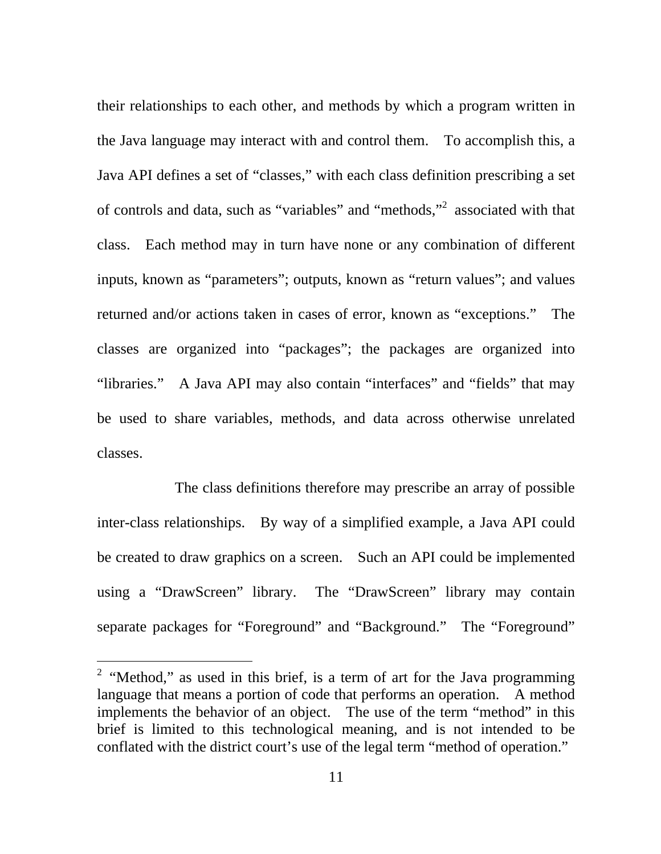their relationships to each other, and methods by which a program written in the Java language may interact with and control them. To accomplish this, a Java API defines a set of "classes," with each class definition prescribing a set of controls and data, such as "variables" and "methods,"<sup>2</sup> associated with that class. Each method may in turn have none or any combination of different inputs, known as "parameters"; outputs, known as "return values"; and values returned and/or actions taken in cases of error, known as "exceptions." The classes are organized into "packages"; the packages are organized into "libraries." A Java API may also contain "interfaces" and "fields" that may be used to share variables, methods, and data across otherwise unrelated classes.

The class definitions therefore may prescribe an array of possible inter-class relationships. By way of a simplified example, a Java API could be created to draw graphics on a screen. Such an API could be implemented using a "DrawScreen" library. The "DrawScreen" library may contain separate packages for "Foreground" and "Background." The "Foreground"

 $\overline{a}$ 

<sup>&</sup>lt;sup>2</sup> "Method," as used in this brief, is a term of art for the Java programming language that means a portion of code that performs an operation. A method implements the behavior of an object. The use of the term "method" in this brief is limited to this technological meaning, and is not intended to be conflated with the district court's use of the legal term "method of operation."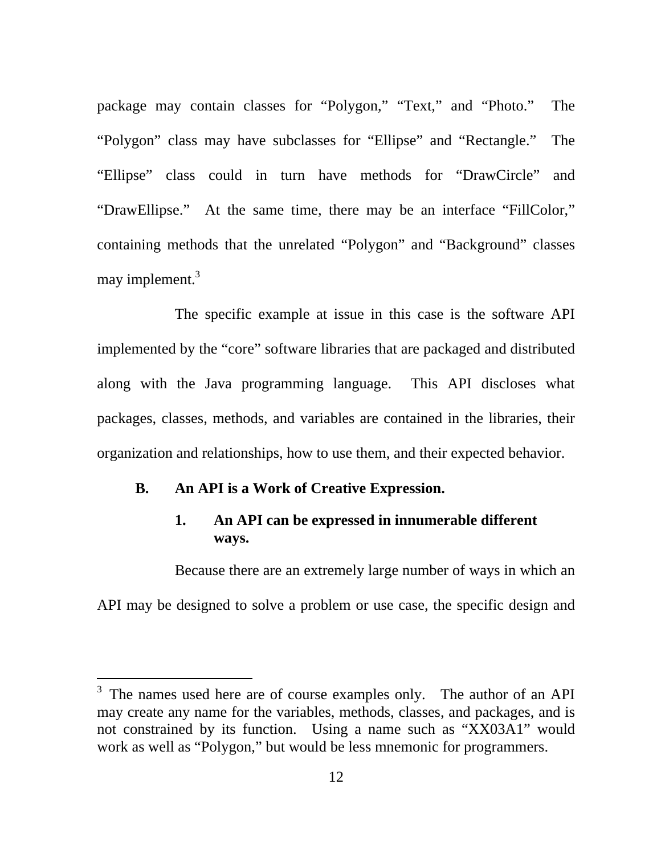package may contain classes for "Polygon," "Text," and "Photo." The "Polygon" class may have subclasses for "Ellipse" and "Rectangle." The "Ellipse" class could in turn have methods for "DrawCircle" and "DrawEllipse." At the same time, there may be an interface "FillColor," containing methods that the unrelated "Polygon" and "Background" classes may implement.<sup>3</sup>

The specific example at issue in this case is the software API implemented by the "core" software libraries that are packaged and distributed along with the Java programming language. This API discloses what packages, classes, methods, and variables are contained in the libraries, their organization and relationships, how to use them, and their expected behavior.

### **B. An API is a Work of Creative Expression.**

-

### **1. An API can be expressed in innumerable different ways.**

Because there are an extremely large number of ways in which an API may be designed to solve a problem or use case, the specific design and

 $3$  The names used here are of course examples only. The author of an API may create any name for the variables, methods, classes, and packages, and is not constrained by its function. Using a name such as "XX03A1" would work as well as "Polygon," but would be less mnemonic for programmers.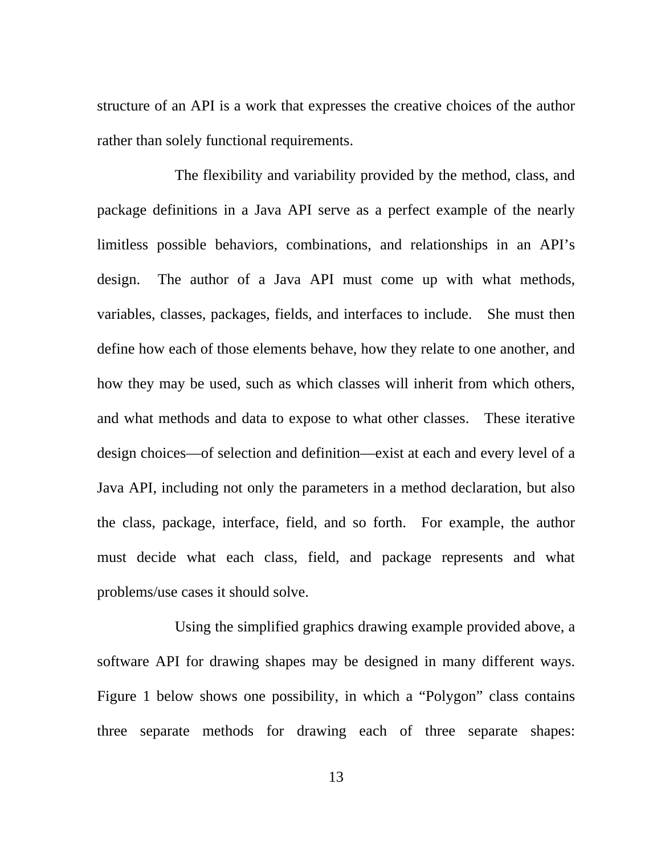structure of an API is a work that expresses the creative choices of the author rather than solely functional requirements.

The flexibility and variability provided by the method, class, and package definitions in a Java API serve as a perfect example of the nearly limitless possible behaviors, combinations, and relationships in an API's design. The author of a Java API must come up with what methods, variables, classes, packages, fields, and interfaces to include. She must then define how each of those elements behave, how they relate to one another, and how they may be used, such as which classes will inherit from which others, and what methods and data to expose to what other classes. These iterative design choices—of selection and definition—exist at each and every level of a Java API, including not only the parameters in a method declaration, but also the class, package, interface, field, and so forth. For example, the author must decide what each class, field, and package represents and what problems/use cases it should solve.

Using the simplified graphics drawing example provided above, a software API for drawing shapes may be designed in many different ways. Figure 1 below shows one possibility, in which a "Polygon" class contains three separate methods for drawing each of three separate shapes: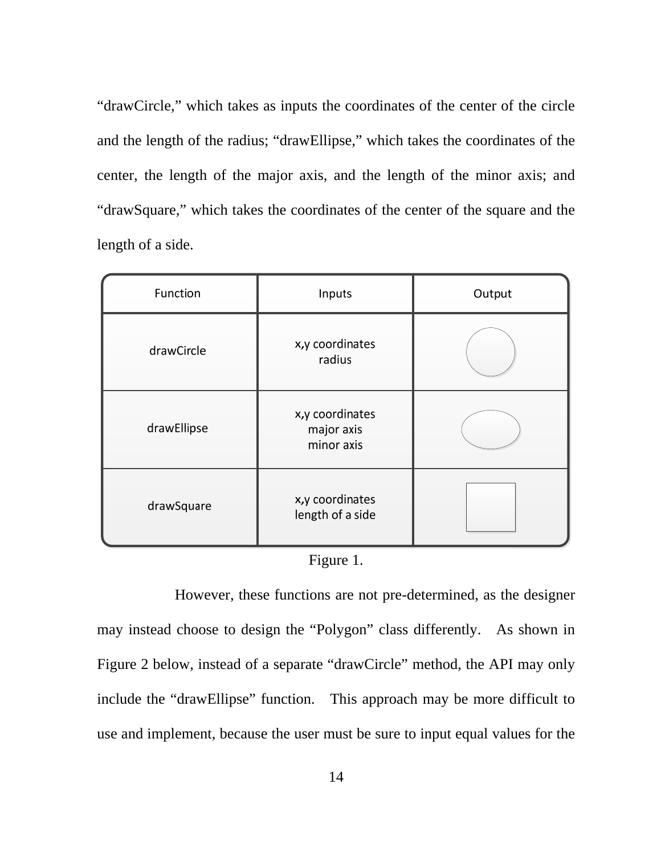"drawCircle," which takes as inputs the coordinates of the center of the circle and the length of the radius; "drawEllipse," which takes the coordinates of the center, the length of the major axis, and the length of the minor axis; and "drawSquare," which takes the coordinates of the center of the square and the length of a side.

| Function    | Inputs                                      | Output |
|-------------|---------------------------------------------|--------|
| drawCircle  | x,y coordinates<br>radius                   |        |
| drawEllipse | x,y coordinates<br>major axis<br>minor axis |        |
| drawSquare  | x,y coordinates<br>length of a side         |        |

|  | <b>Figure</b> |  |
|--|---------------|--|
|--|---------------|--|

However, these functions are not pre-determined, as the designer may instead choose to design the "Polygon" class differently. As shown in Figure 2 below, instead of a separate "drawCircle" method, the API may only include the "drawEllipse" function. This approach may be more difficult to use and implement, because the user must be sure to input equal values for the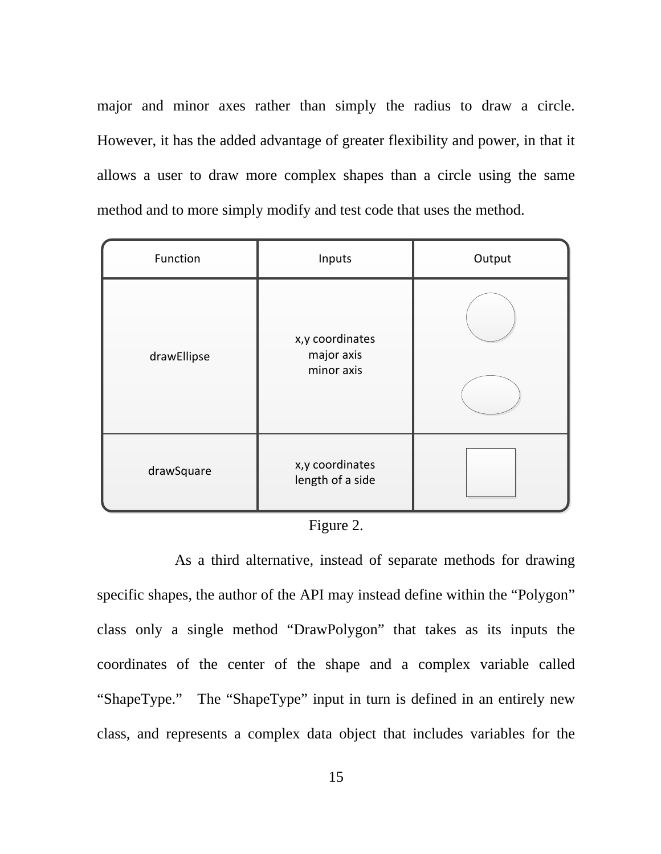major and minor axes rather than simply the radius to draw a circle. However, it has the added advantage of greater flexibility and power, in that it allows a user to draw more complex shapes than a circle using the same method and to more simply modify and test code that uses the method.

| Function    | Inputs                                      | Output |
|-------------|---------------------------------------------|--------|
| drawEllipse | x,y coordinates<br>major axis<br>minor axis |        |
| drawSquare  | x,y coordinates<br>length of a side         |        |

# Figure 2.

As a third alternative, instead of separate methods for drawing specific shapes, the author of the API may instead define within the "Polygon" class only a single method "DrawPolygon" that takes as its inputs the coordinates of the center of the shape and a complex variable called "ShapeType." The "ShapeType" input in turn is defined in an entirely new class, and represents a complex data object that includes variables for the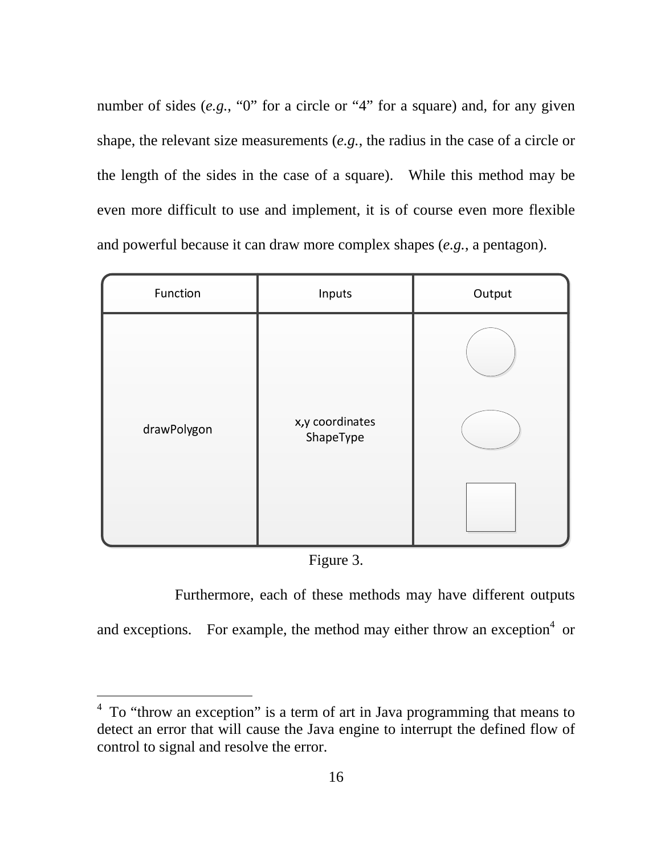number of sides (*e.g.*, "0" for a circle or "4" for a square) and, for any given shape, the relevant size measurements (*e.g.*, the radius in the case of a circle or the length of the sides in the case of a square). While this method may be even more difficult to use and implement, it is of course even more flexible and powerful because it can draw more complex shapes (*e.g.*, a pentagon).

| Function    | Inputs                       | Output |
|-------------|------------------------------|--------|
| drawPolygon | x,y coordinates<br>ShapeType |        |

Figure 3.

Furthermore, each of these methods may have different outputs

and exceptions. For example, the method may either throw an exception $4$  or

-

<sup>&</sup>lt;sup>4</sup> To "throw an exception" is a term of art in Java programming that means to detect an error that will cause the Java engine to interrupt the defined flow of control to signal and resolve the error.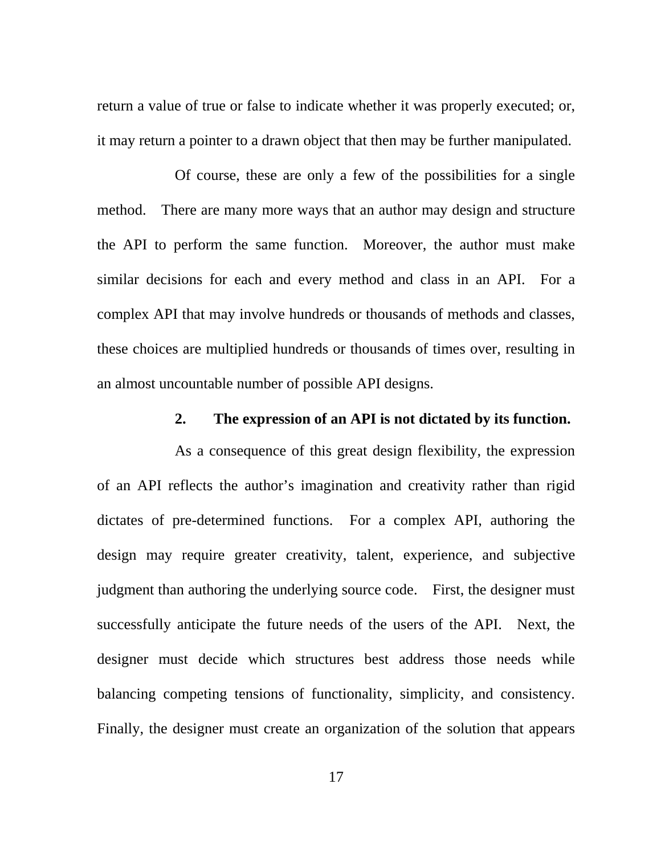return a value of true or false to indicate whether it was properly executed; or, it may return a pointer to a drawn object that then may be further manipulated.

Of course, these are only a few of the possibilities for a single method. There are many more ways that an author may design and structure the API to perform the same function. Moreover, the author must make similar decisions for each and every method and class in an API. For a complex API that may involve hundreds or thousands of methods and classes, these choices are multiplied hundreds or thousands of times over, resulting in an almost uncountable number of possible API designs.

### **2. The expression of an API is not dictated by its function.**

As a consequence of this great design flexibility, the expression of an API reflects the author's imagination and creativity rather than rigid dictates of pre-determined functions. For a complex API, authoring the design may require greater creativity, talent, experience, and subjective judgment than authoring the underlying source code. First, the designer must successfully anticipate the future needs of the users of the API. Next, the designer must decide which structures best address those needs while balancing competing tensions of functionality, simplicity, and consistency. Finally, the designer must create an organization of the solution that appears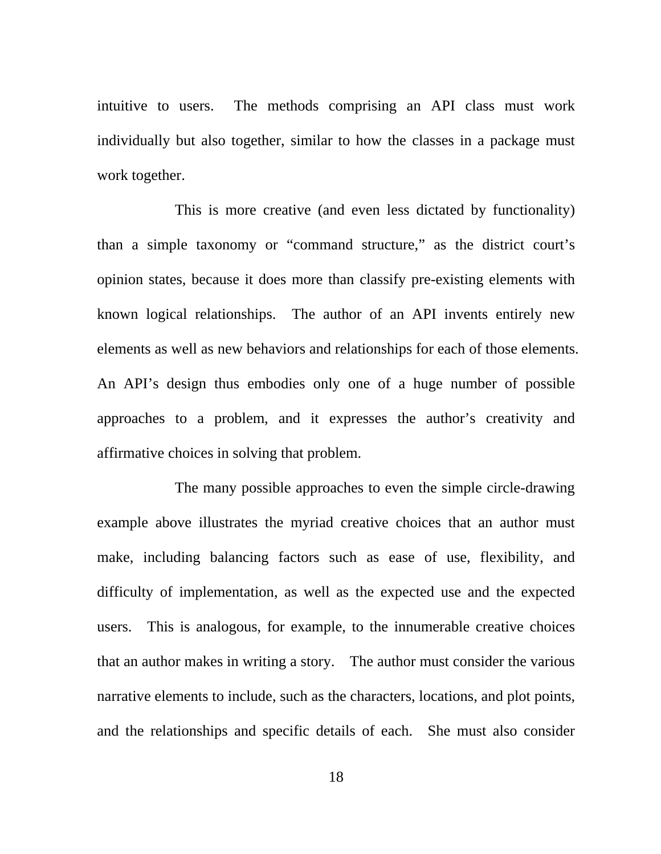intuitive to users. The methods comprising an API class must work individually but also together, similar to how the classes in a package must work together.

This is more creative (and even less dictated by functionality) than a simple taxonomy or "command structure," as the district court's opinion states, because it does more than classify pre-existing elements with known logical relationships. The author of an API invents entirely new elements as well as new behaviors and relationships for each of those elements. An API's design thus embodies only one of a huge number of possible approaches to a problem, and it expresses the author's creativity and affirmative choices in solving that problem.

The many possible approaches to even the simple circle-drawing example above illustrates the myriad creative choices that an author must make, including balancing factors such as ease of use, flexibility, and difficulty of implementation, as well as the expected use and the expected users. This is analogous, for example, to the innumerable creative choices that an author makes in writing a story. The author must consider the various narrative elements to include, such as the characters, locations, and plot points, and the relationships and specific details of each. She must also consider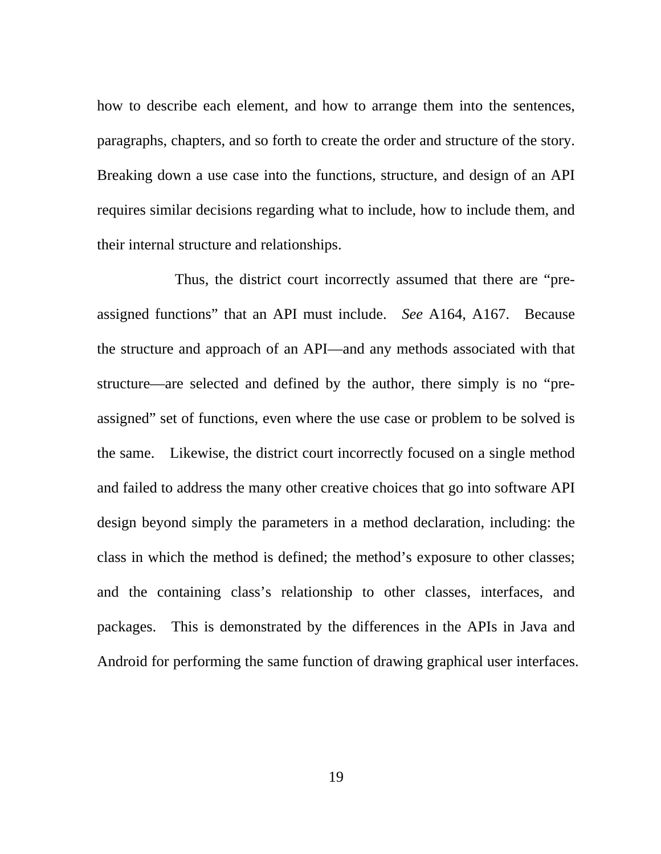how to describe each element, and how to arrange them into the sentences, paragraphs, chapters, and so forth to create the order and structure of the story. Breaking down a use case into the functions, structure, and design of an API requires similar decisions regarding what to include, how to include them, and their internal structure and relationships.

Thus, the district court incorrectly assumed that there are "preassigned functions" that an API must include. *See* A164, A167. Because the structure and approach of an API—and any methods associated with that structure—are selected and defined by the author, there simply is no "preassigned" set of functions, even where the use case or problem to be solved is the same. Likewise, the district court incorrectly focused on a single method and failed to address the many other creative choices that go into software API design beyond simply the parameters in a method declaration, including: the class in which the method is defined; the method's exposure to other classes; and the containing class's relationship to other classes, interfaces, and packages. This is demonstrated by the differences in the APIs in Java and Android for performing the same function of drawing graphical user interfaces.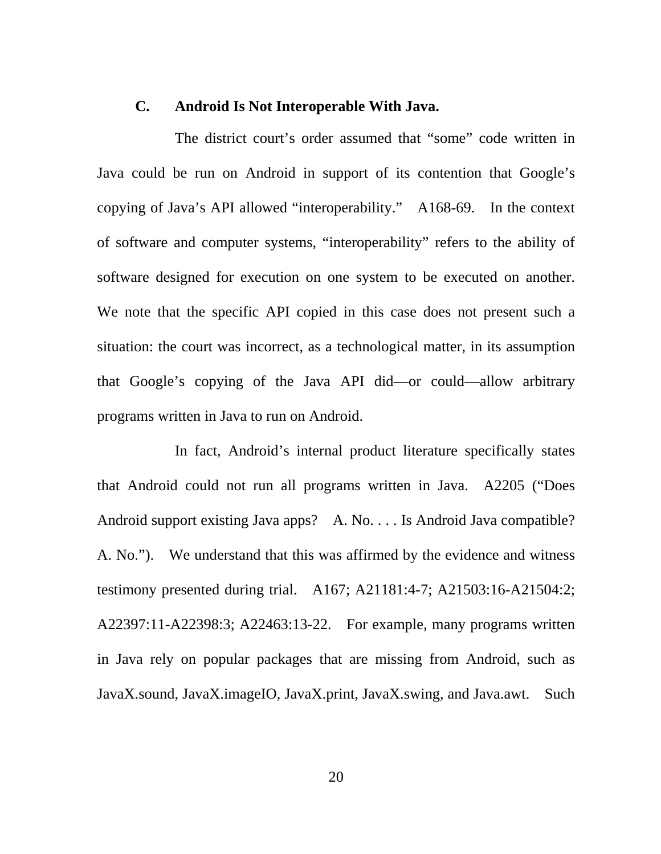#### **C. Android Is Not Interoperable With Java.**

The district court's order assumed that "some" code written in Java could be run on Android in support of its contention that Google's copying of Java's API allowed "interoperability." A168-69. In the context of software and computer systems, "interoperability" refers to the ability of software designed for execution on one system to be executed on another. We note that the specific API copied in this case does not present such a situation: the court was incorrect, as a technological matter, in its assumption that Google's copying of the Java API did—or could—allow arbitrary programs written in Java to run on Android.

In fact, Android's internal product literature specifically states that Android could not run all programs written in Java. A2205 ("Does Android support existing Java apps? A. No. . . . Is Android Java compatible? A. No."). We understand that this was affirmed by the evidence and witness testimony presented during trial. A167; A21181:4-7; A21503:16-A21504:2; A22397:11-A22398:3; A22463:13-22. For example, many programs written in Java rely on popular packages that are missing from Android, such as JavaX.sound, JavaX.imageIO, JavaX.print, JavaX.swing, and Java.awt. Such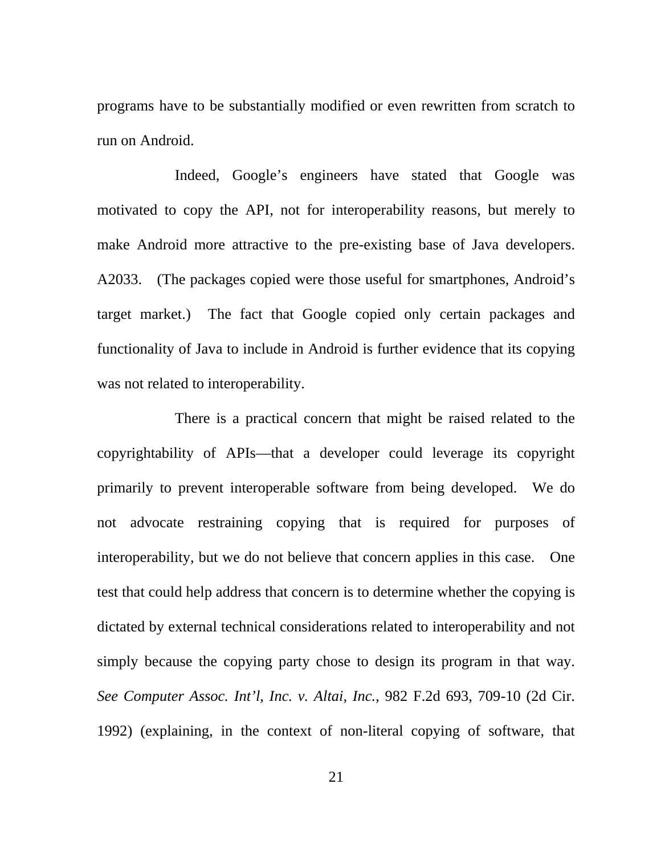programs have to be substantially modified or even rewritten from scratch to run on Android.

Indeed, Google's engineers have stated that Google was motivated to copy the API, not for interoperability reasons, but merely to make Android more attractive to the pre-existing base of Java developers. A2033. (The packages copied were those useful for smartphones, Android's target market.) The fact that Google copied only certain packages and functionality of Java to include in Android is further evidence that its copying was not related to interoperability.

There is a practical concern that might be raised related to the copyrightability of APIs—that a developer could leverage its copyright primarily to prevent interoperable software from being developed. We do not advocate restraining copying that is required for purposes of interoperability, but we do not believe that concern applies in this case. One test that could help address that concern is to determine whether the copying is dictated by external technical considerations related to interoperability and not simply because the copying party chose to design its program in that way. *See Computer Assoc. Int'l, Inc. v. Altai, Inc.*, 982 F.2d 693, 709-10 (2d Cir. 1992) (explaining, in the context of non-literal copying of software, that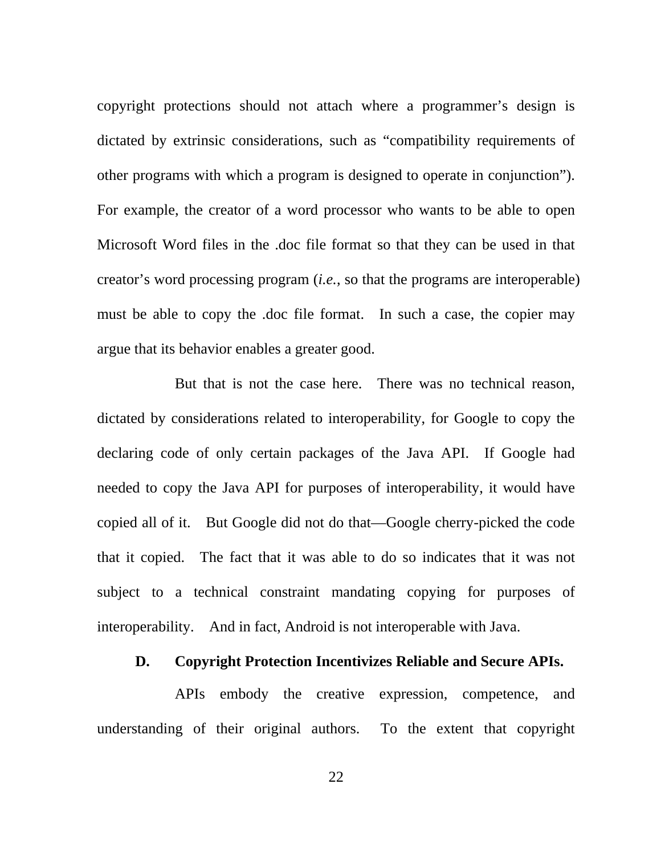copyright protections should not attach where a programmer's design is dictated by extrinsic considerations, such as "compatibility requirements of other programs with which a program is designed to operate in conjunction"). For example, the creator of a word processor who wants to be able to open Microsoft Word files in the .doc file format so that they can be used in that creator's word processing program (*i.e.*, so that the programs are interoperable) must be able to copy the .doc file format. In such a case, the copier may argue that its behavior enables a greater good.

But that is not the case here. There was no technical reason, dictated by considerations related to interoperability, for Google to copy the declaring code of only certain packages of the Java API. If Google had needed to copy the Java API for purposes of interoperability, it would have copied all of it. But Google did not do that—Google cherry-picked the code that it copied. The fact that it was able to do so indicates that it was not subject to a technical constraint mandating copying for purposes of interoperability. And in fact, Android is not interoperable with Java.

#### **D. Copyright Protection Incentivizes Reliable and Secure APIs.**

APIs embody the creative expression, competence, and understanding of their original authors. To the extent that copyright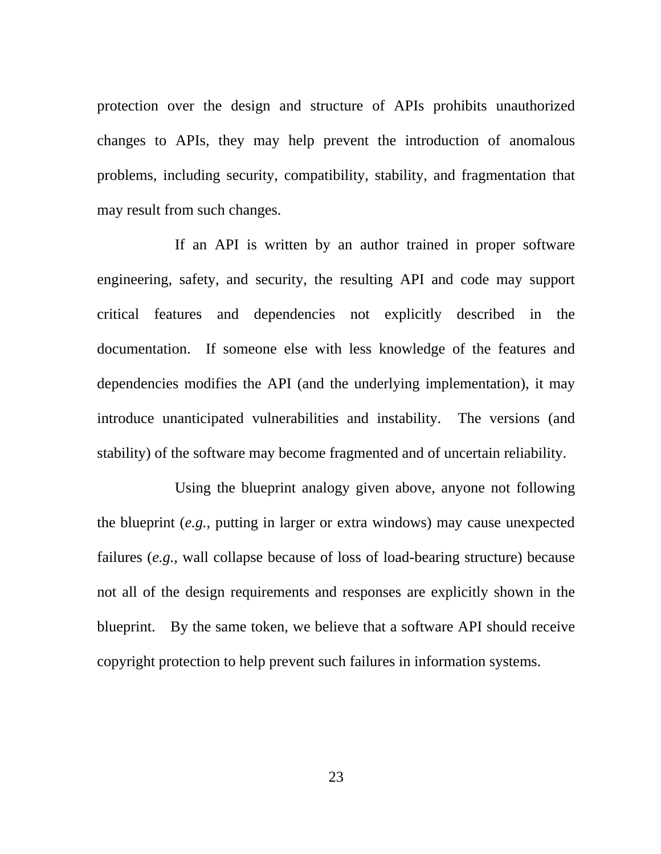protection over the design and structure of APIs prohibits unauthorized changes to APIs, they may help prevent the introduction of anomalous problems, including security, compatibility, stability, and fragmentation that may result from such changes.

If an API is written by an author trained in proper software engineering, safety, and security, the resulting API and code may support critical features and dependencies not explicitly described in the documentation. If someone else with less knowledge of the features and dependencies modifies the API (and the underlying implementation), it may introduce unanticipated vulnerabilities and instability. The versions (and stability) of the software may become fragmented and of uncertain reliability.

Using the blueprint analogy given above, anyone not following the blueprint (*e.g.*, putting in larger or extra windows) may cause unexpected failures (*e.g.*, wall collapse because of loss of load-bearing structure) because not all of the design requirements and responses are explicitly shown in the blueprint. By the same token, we believe that a software API should receive copyright protection to help prevent such failures in information systems.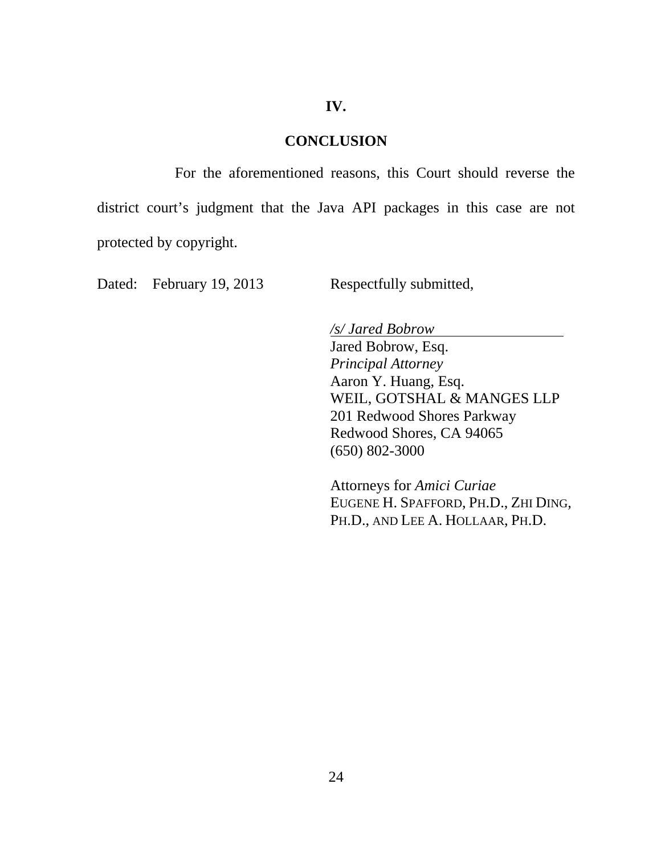#### **IV.**

### **CONCLUSION**

For the aforementioned reasons, this Court should reverse the district court's judgment that the Java API packages in this case are not protected by copyright.

Dated: February 19, 2013 Respectfully submitted,

*/s/ Jared Bobrow*

Jared Bobrow, Esq. *Principal Attorney*  Aaron Y. Huang, Esq. WEIL, GOTSHAL & MANGES LLP 201 Redwood Shores Parkway Redwood Shores, CA 94065 (650) 802-3000

Attorneys for *Amici Curiae*  EUGENE H. SPAFFORD, PH.D., ZHI DING, PH.D., AND LEE A. HOLLAAR, PH.D.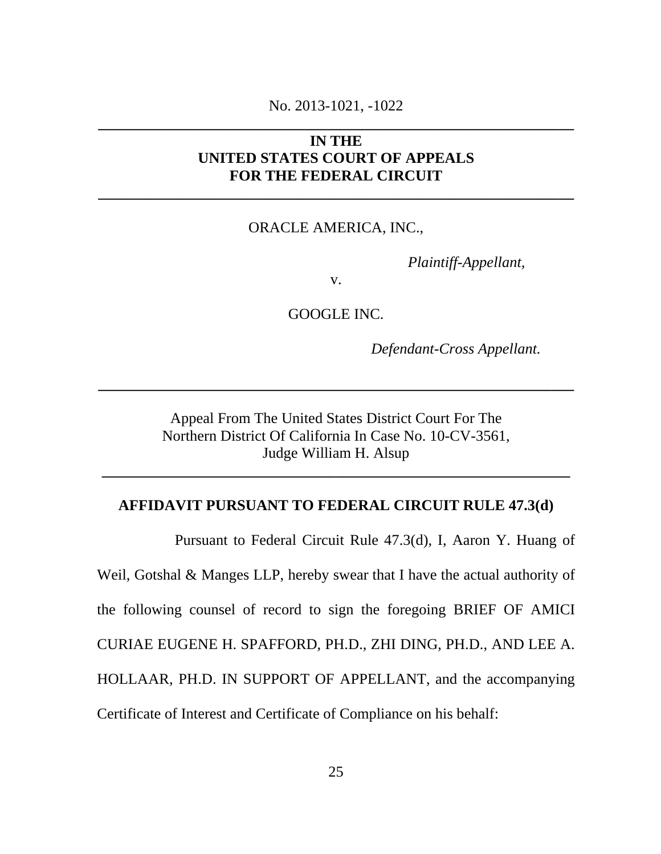# No. 2013-1021, -1022 **\_\_\_\_\_\_\_\_\_\_\_\_\_\_\_\_\_\_\_\_\_\_\_\_\_\_\_\_\_\_\_\_\_\_\_\_\_\_\_\_\_\_\_\_\_\_\_\_\_\_\_\_\_\_\_\_\_\_\_\_\_\_\_**

# **IN THE UNITED STATES COURT OF APPEALS FOR THE FEDERAL CIRCUIT**

**\_\_\_\_\_\_\_\_\_\_\_\_\_\_\_\_\_\_\_\_\_\_\_\_\_\_\_\_\_\_\_\_\_\_\_\_\_\_\_\_\_\_\_\_\_\_\_\_\_\_\_\_\_\_\_\_\_\_\_\_\_\_\_** 

#### ORACLE AMERICA, INC.,

 *Plaintiff-Appellant,* 

v.

GOOGLE INC.

*Defendant-Cross Appellant.* 

Appeal From The United States District Court For The Northern District Of California In Case No. 10-CV-3561, Judge William H. Alsup

**\_\_\_\_\_\_\_\_\_\_\_\_\_\_\_\_\_\_\_\_\_\_\_\_\_\_\_\_\_\_\_\_\_\_\_\_\_\_\_\_\_\_\_\_\_\_\_\_\_\_\_\_\_\_\_\_\_\_\_\_\_\_\_** 

### **AFFIDAVIT PURSUANT TO FEDERAL CIRCUIT RULE 47.3(d)**

**\_\_\_\_\_\_\_\_\_\_\_\_\_\_\_\_\_\_\_\_\_\_\_\_\_\_\_\_\_\_\_\_\_\_\_\_\_\_\_\_\_\_\_\_\_\_\_\_\_\_\_\_\_\_\_\_\_\_\_\_\_\_** 

Pursuant to Federal Circuit Rule 47.3(d), I, Aaron Y. Huang of Weil, Gotshal & Manges LLP, hereby swear that I have the actual authority of the following counsel of record to sign the foregoing BRIEF OF AMICI CURIAE EUGENE H. SPAFFORD, PH.D., ZHI DING, PH.D., AND LEE A. HOLLAAR, PH.D. IN SUPPORT OF APPELLANT, and the accompanying Certificate of Interest and Certificate of Compliance on his behalf: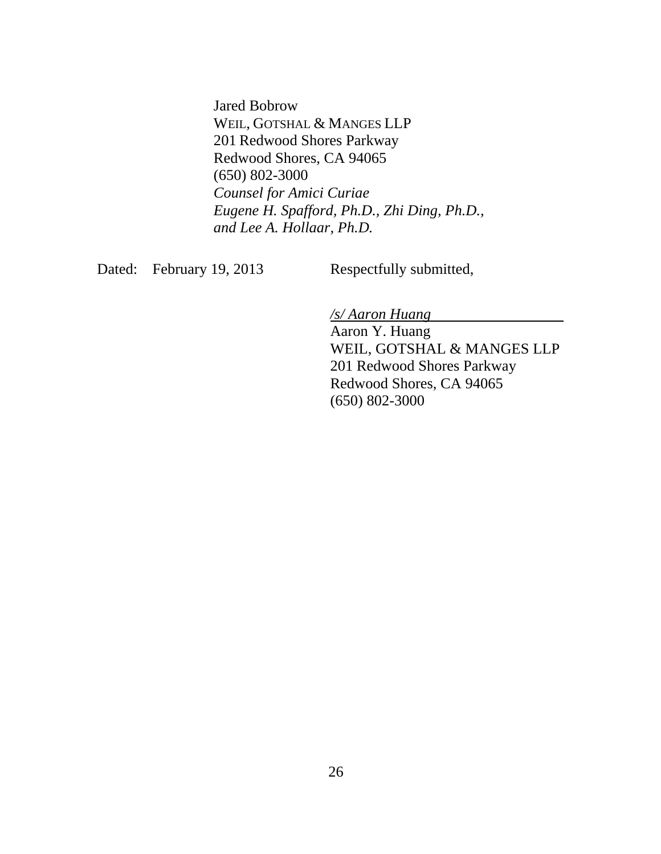Jared Bobrow WEIL, GOTSHAL & MANGES LLP 201 Redwood Shores Parkway Redwood Shores, CA 94065 (650) 802-3000 *Counsel for Amici Curiae Eugene H. Spafford, Ph.D., Zhi Ding, Ph.D., and Lee A. Hollaar, Ph.D.*

Dated: February 19, 2013 Respectfully submitted,

*/s/ Aaron Huang*

Aaron Y. Huang WEIL, GOTSHAL & MANGES LLP 201 Redwood Shores Parkway Redwood Shores, CA 94065 (650) 802-3000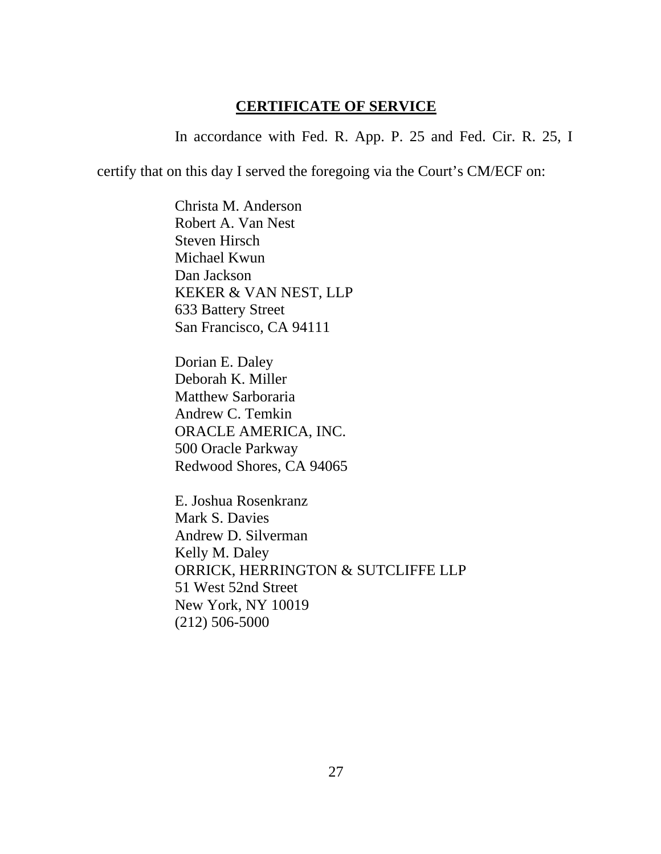### **CERTIFICATE OF SERVICE**

In accordance with Fed. R. App. P. 25 and Fed. Cir. R. 25, I

certify that on this day I served the foregoing via the Court's CM/ECF on:

Christa M. Anderson Robert A. Van Nest Steven Hirsch Michael Kwun Dan Jackson KEKER & VAN NEST, LLP 633 Battery Street San Francisco, CA 94111

Dorian E. Daley Deborah K. Miller Matthew Sarboraria Andrew C. Temkin ORACLE AMERICA, INC. 500 Oracle Parkway Redwood Shores, CA 94065

E. Joshua Rosenkranz Mark S. Davies Andrew D. Silverman Kelly M. Daley ORRICK, HERRINGTON & SUTCLIFFE LLP 51 West 52nd Street New York, NY 10019 (212) 506-5000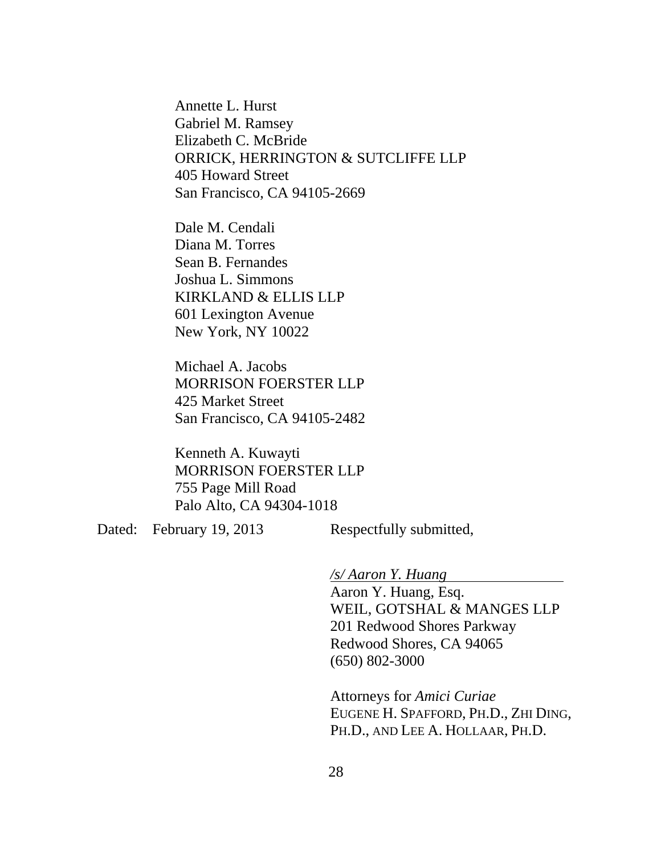Annette L. Hurst Gabriel M. Ramsey Elizabeth C. McBride ORRICK, HERRINGTON & SUTCLIFFE LLP 405 Howard Street San Francisco, CA 94105-2669

Dale M. Cendali Diana M. Torres Sean B. Fernandes Joshua L. Simmons KIRKLAND & ELLIS LLP 601 Lexington Avenue New York, NY 10022

Michael A. Jacobs MORRISON FOERSTER LLP 425 Market Street San Francisco, CA 94105-2482

Kenneth A. Kuwayti MORRISON FOERSTER LLP 755 Page Mill Road Palo Alto, CA 94304-1018

Dated: February 19, 2013 Respectfully submitted,

*/s/ Aaron Y. Huang*

Aaron Y. Huang, Esq. WEIL, GOTSHAL & MANGES LLP 201 Redwood Shores Parkway Redwood Shores, CA 94065 (650) 802-3000

Attorneys for *Amici Curiae*  EUGENE H. SPAFFORD, PH.D., ZHI DING, PH.D., AND LEE A. HOLLAAR, PH.D.